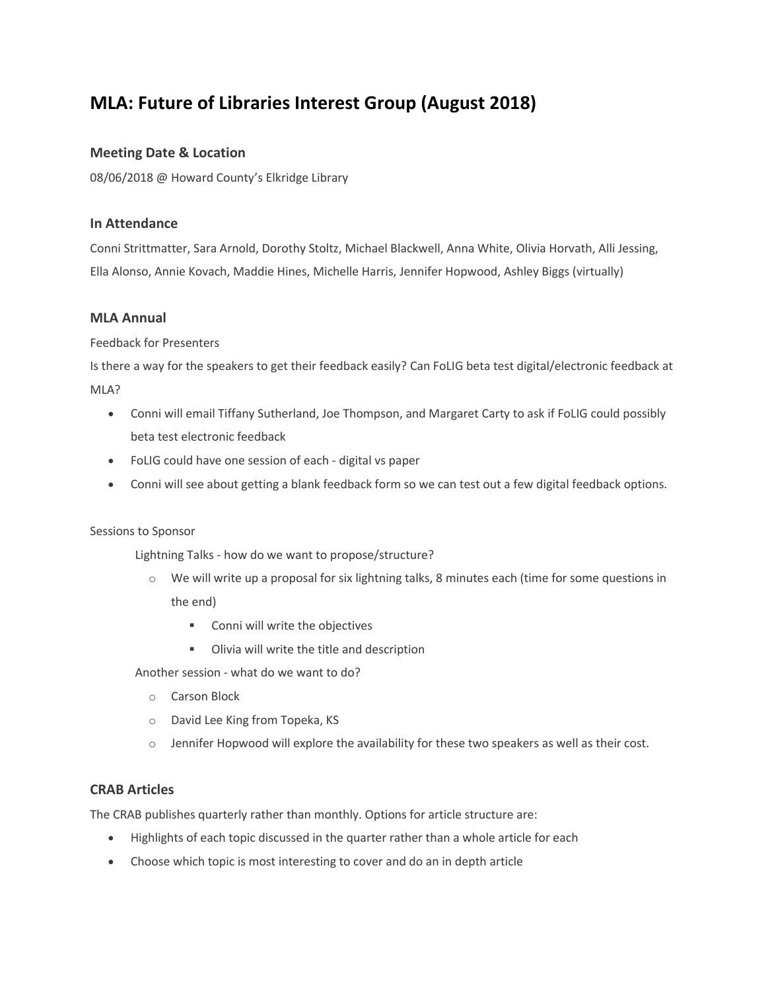# **MLA: Future of Libraries Interest Group (August 2018)**

#### **Meeting Date & Location**

08/06/2018 @ Howard County's Elkridge Library

#### **In Attendance**

Conni Strittmatter, Sara Arnold, Dorothy Stoltz, Michael Blackwell, Anna White, Olivia Horvath, Alli Jessing, Ella Alonso, Annie Kovach, Maddie Hines, Michelle Harris, Jennifer Hopwood, Ashley Biggs (virtually)

#### **MLA Annual**

Feedback for Presenters

Is there a way for the speakers to get their feedback easily? Can FoLIG beta test digital/electronic feedback at MLA?

- Conni will email Tiffany Sutherland, Joe Thompson, and Margaret Carty to ask if FoLIG could possibly beta test electronic feedback
- FoLIG could have one session of each digital vs paper
- Conni will see about getting a blank feedback form so we can test out a few digital feedback options.

#### Sessions to Sponsor

Lightning Talks - how do we want to propose/structure?

- o We will write up a proposal for six lightning talks, 8 minutes each (time for some questions in the end)
	- Conni will write the objectives
	- **•** Olivia will write the title and description

Another session - what do we want to do?

- o Carson Block
- o David Lee King from Topeka, KS
- $\circ$  Jennifer Hopwood will explore the availability for these two speakers as well as their cost.

#### **CRAB Articles**

The CRAB publishes quarterly rather than monthly. Options for article structure are:

- Highlights of each topic discussed in the quarter rather than a whole article for each
- Choose which topic is most interesting to cover and do an in depth article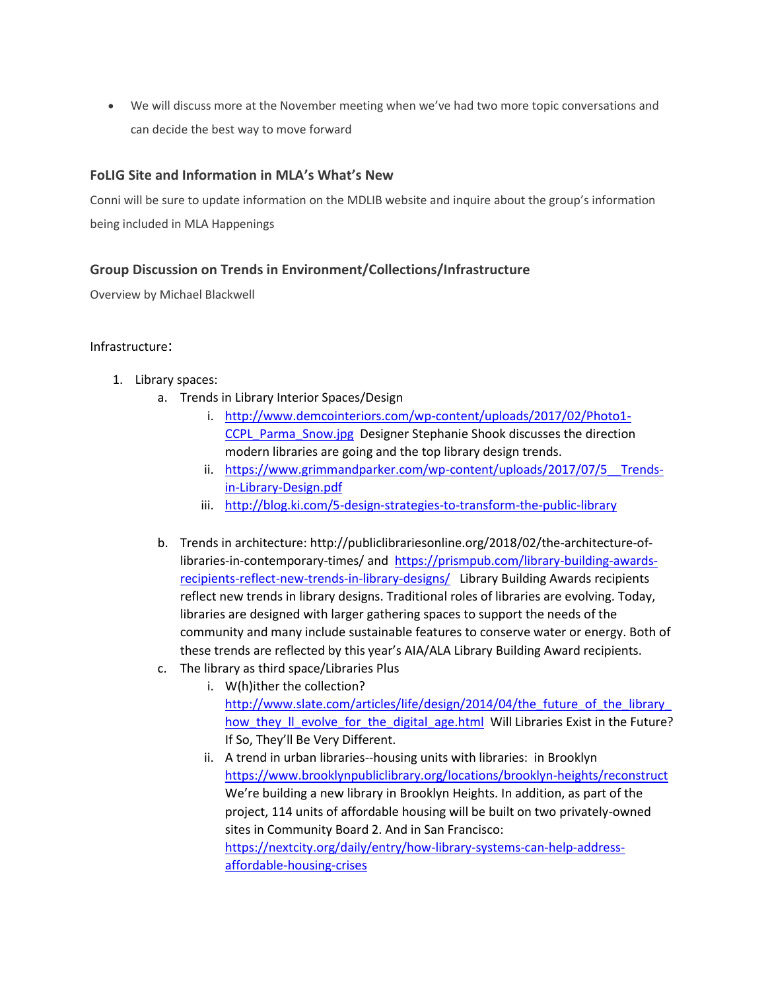We will discuss more at the November meeting when we've had two more topic conversations and can decide the best way to move forward

### **FoLIG Site and Information in MLA's What's New**

Conni will be sure to update information on the MDLIB website and inquire about the group's information being included in MLA Happenings

### **Group Discussion on Trends in Environment/Collections/Infrastructure**

Overview by Michael Blackwell

#### Infrastructure:

- 1. Library spaces:
	- a. Trends in Library Interior Spaces/Design
		- i. [http://www.demcointeriors.com/wp-content/uploads/2017/02/Photo1-](http://www.demcointeriors.com/wp-content/uploads/2017/02/Photo1-CCPL_Parma_Snow.jpg) CCPL Parma Snow.jpg Designer Stephanie Shook discusses the direction modern libraries are going and the top library design trends.
		- ii. https://www.grimmandparker.com/wp-content/uploads/2017/07/5\_Trends[in-Library-Design.pdf](https://www.grimmandparker.com/wp-content/uploads/2017/07/5__Trends-in-Library-Design.pdf)
		- iii. <http://blog.ki.com/5-design-strategies-to-transform-the-public-library>
	- b. Trends in architecture: http://publiclibrariesonline.org/2018/02/the-architecture-oflibraries-in-contemporary-times/ and [https://prismpub.com/library-building-awards](https://prismpub.com/library-building-awards-recipients-reflect-new-trends-in-library-designs/)[recipients-reflect-new-trends-in-library-designs/](https://prismpub.com/library-building-awards-recipients-reflect-new-trends-in-library-designs/) Library Building Awards recipients reflect new trends in library designs. Traditional roles of libraries are evolving. Today, libraries are designed with larger gathering spaces to support the needs of the community and many include sustainable features to conserve water or energy. Both of these trends are reflected by this year's AIA/ALA Library Building Award recipients.
	- c. The library as third space/Libraries Plus
		- i. W(h)ither the collection? [http://www.slate.com/articles/life/design/2014/04/the\\_future\\_of\\_the\\_library\\_](http://www.slate.com/articles/life/design/2014/04/the_future_of_the_library_how_they_ll_evolve_for_the_digital_age.html) how they II evolve for the digital age.html Will Libraries Exist in the Future? If So, They'll Be Very Different.
		- ii. A trend in urban libraries--housing units with libraries: in Brooklyn <https://www.brooklynpubliclibrary.org/locations/brooklyn-heights/reconstruct> We're building a new library in Brooklyn Heights. In addition, as part of the project, 114 units of affordable housing will be built on two privately-owned sites in Community Board 2. And in San Francisco: [https://nextcity.org/daily/entry/how-library-systems-can-help-address](https://nextcity.org/daily/entry/how-library-systems-can-help-address-affordable-housing-crises)[affordable-housing-crises](https://nextcity.org/daily/entry/how-library-systems-can-help-address-affordable-housing-crises)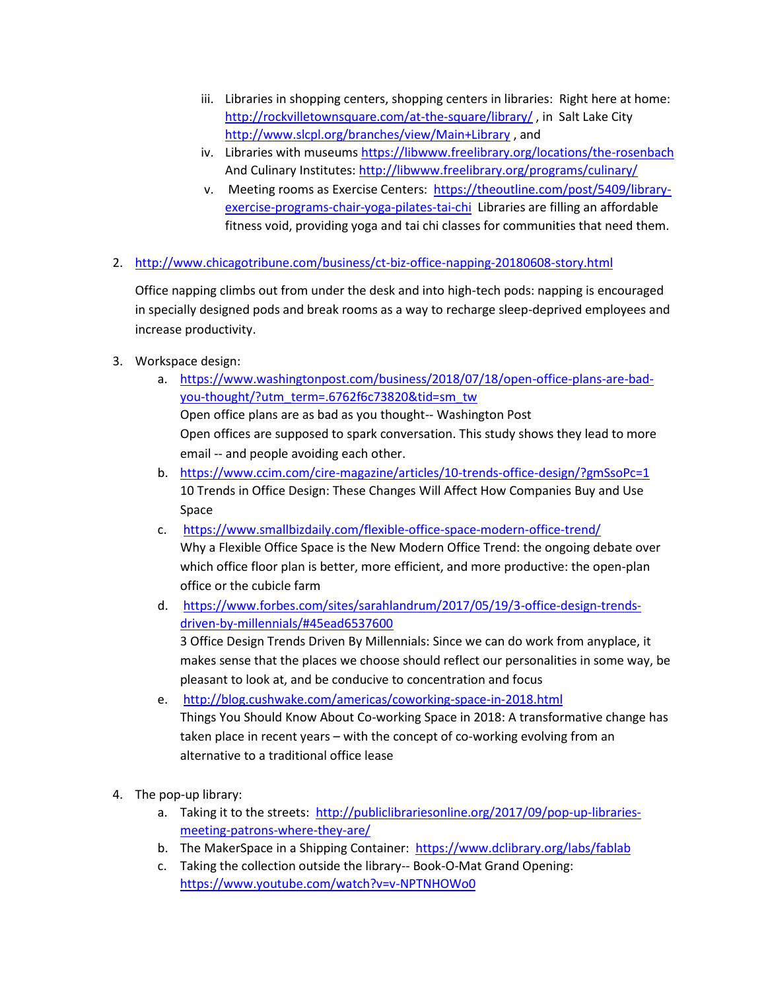- iii. Libraries in shopping centers, shopping centers in libraries: Right here at home: <http://rockvilletownsquare.com/at-the-square/library/>, in Salt Lake City <http://www.slcpl.org/branches/view/Main+Library> , and
- iv. Libraries with museum[s https://libwww.freelibrary.org/locations/the-rosenbach](https://libwww.freelibrary.org/locations/the-rosenbach) And Culinary Institutes:<http://libwww.freelibrary.org/programs/culinary/>
- v. Meeting rooms as Exercise Centers: [https://theoutline.com/post/5409/library](https://theoutline.com/post/5409/library-exercise-programs-chair-yoga-pilates-tai-chi)[exercise-programs-chair-yoga-pilates-tai-chi](https://theoutline.com/post/5409/library-exercise-programs-chair-yoga-pilates-tai-chi) Libraries are filling an affordable fitness void, providing yoga and tai chi classes for communities that need them.
- 2. <http://www.chicagotribune.com/business/ct-biz-office-napping-20180608-story.html>

Office napping climbs out from under the desk and into high-tech pods: napping is encouraged in specially designed pods and break rooms as a way to recharge sleep-deprived employees and increase productivity.

- 3. Workspace design:
	- a. [https://www.washingtonpost.com/business/2018/07/18/open-office-plans-are-bad](https://www.washingtonpost.com/business/2018/07/18/open-office-plans-are-bad-you-thought/?utm_term=.6762f6c73820&tid=sm_tw)[you-thought/?utm\\_term=.6762f6c73820&tid=sm\\_tw](https://www.washingtonpost.com/business/2018/07/18/open-office-plans-are-bad-you-thought/?utm_term=.6762f6c73820&tid=sm_tw)

Open office plans are as bad as you thought-- Washington Post Open offices are supposed to spark conversation. This study shows they lead to more email -- and people avoiding each other.

- b. <https://www.ccim.com/cire-magazine/articles/10-trends-office-design/?gmSsoPc=1> 10 Trends in Office Design: These Changes Will Affect How Companies Buy and Use Space
- c. <https://www.smallbizdaily.com/flexible-office-space-modern-office-trend/> Why a Flexible Office Space is the New Modern Office Trend: the ongoing debate over which office floor plan is better, more efficient, and more productive: the open-plan office or the cubicle farm
- d. [https://www.forbes.com/sites/sarahlandrum/2017/05/19/3-office-design-trends](https://www.forbes.com/sites/sarahlandrum/2017/05/19/3-office-design-trends-driven-by-millennials/#45ead6537600)[driven-by-millennials/#45ead6537600](https://www.forbes.com/sites/sarahlandrum/2017/05/19/3-office-design-trends-driven-by-millennials/#45ead6537600)  3 Office Design Trends Driven By Millennials: Since we can do work from anyplace, it makes sense that the places we choose should reflect our personalities in some way, be pleasant to look at, and be conducive to concentration and focus
- e. <http://blog.cushwake.com/americas/coworking-space-in-2018.html> Things You Should Know About Co-working Space in 2018: A transformative change has taken place in recent years – with the concept of co-working evolving from an alternative to a traditional office lease
- 4. The pop-up library:
	- a. Taking it to the streets: [http://publiclibrariesonline.org/2017/09/pop-up-libraries](http://publiclibrariesonline.org/2017/09/pop-up-libraries-meeting-patrons-where-they-are/)[meeting-patrons-where-they-are/](http://publiclibrariesonline.org/2017/09/pop-up-libraries-meeting-patrons-where-they-are/)
	- b. The MakerSpace in a Shipping Container: <https://www.dclibrary.org/labs/fablab>
	- c. Taking the collection outside the library-- Book-O-Mat Grand Opening: <https://www.youtube.com/watch?v=v-NPTNHOWo0>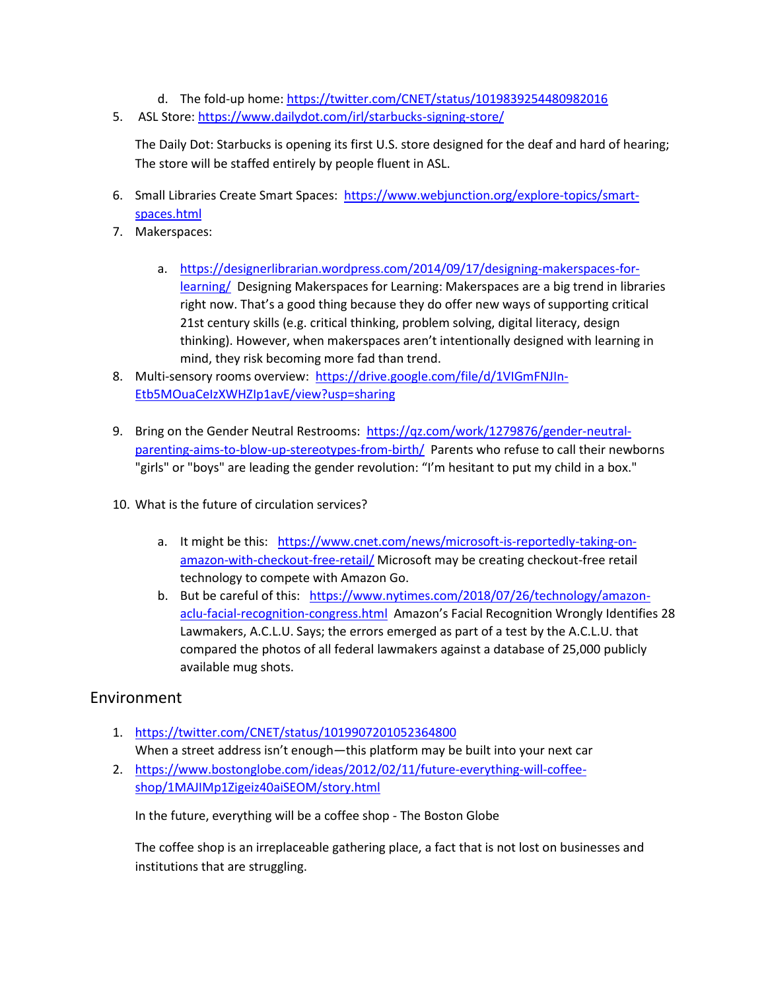- d. The fold-up home:<https://twitter.com/CNET/status/1019839254480982016>
- 5. ASL Store:<https://www.dailydot.com/irl/starbucks-signing-store/>

The Daily Dot: Starbucks is opening its first U.S. store designed for the deaf and hard of hearing; The store will be staffed entirely by people fluent in ASL.

- 6. Small Libraries Create Smart Spaces: [https://www.webjunction.org/explore-topics/smart](https://www.webjunction.org/explore-topics/smart-spaces.html)[spaces.html](https://www.webjunction.org/explore-topics/smart-spaces.html)
- 7. Makerspaces:
	- a. [https://designerlibrarian.wordpress.com/2014/09/17/designing-makerspaces-for](https://designerlibrarian.wordpress.com/2014/09/17/designing-makerspaces-for-learning/)[learning/](https://designerlibrarian.wordpress.com/2014/09/17/designing-makerspaces-for-learning/) Designing Makerspaces for Learning: Makerspaces are a big trend in libraries right now. That's a good thing because they do offer new ways of supporting critical 21st century skills (e.g. critical thinking, problem solving, digital literacy, design thinking). However, when makerspaces aren't intentionally designed with learning in mind, they risk becoming more fad than trend.
- 8. Multi-sensory rooms overview: [https://drive.google.com/file/d/1VIGmFNJIn-](https://drive.google.com/file/d/1VIGmFNJIn-Etb5MOuaCeIzXWHZIp1avE/view?usp=sharing)[Etb5MOuaCeIzXWHZIp1avE/view?usp=sharing](https://drive.google.com/file/d/1VIGmFNJIn-Etb5MOuaCeIzXWHZIp1avE/view?usp=sharing)
- 9. Bring on the Gender Neutral Restrooms: [https://qz.com/work/1279876/gender-neutral](https://qz.com/work/1279876/gender-neutral-parenting-aims-to-blow-up-stereotypes-from-birth/)[parenting-aims-to-blow-up-stereotypes-from-birth/](https://qz.com/work/1279876/gender-neutral-parenting-aims-to-blow-up-stereotypes-from-birth/) Parents who refuse to call their newborns "girls" or "boys" are leading the gender revolution: "I'm hesitant to put my child in a box."
- 10. What is the future of circulation services?
	- a. It might be this: [https://www.cnet.com/news/microsoft-is-reportedly-taking-on](https://www.cnet.com/news/microsoft-is-reportedly-taking-on-amazon-with-checkout-free-retail/)[amazon-with-checkout-free-retail/](https://www.cnet.com/news/microsoft-is-reportedly-taking-on-amazon-with-checkout-free-retail/) Microsoft may be creating checkout-free retail technology to compete with Amazon Go.
	- b. But be careful of this: [https://www.nytimes.com/2018/07/26/technology/amazon](https://www.nytimes.com/2018/07/26/technology/amazon-aclu-facial-recognition-congress.html)[aclu-facial-recognition-congress.html](https://www.nytimes.com/2018/07/26/technology/amazon-aclu-facial-recognition-congress.html) Amazon's Facial Recognition Wrongly Identifies 28 Lawmakers, A.C.L.U. Says; the errors emerged as part of a test by the A.C.L.U. that compared the photos of all federal lawmakers against a database of 25,000 publicly available mug shots.

### Environment

- 1. <https://twitter.com/CNET/status/1019907201052364800> When a street address isn't enough—this platform may be built into your next car
- 2. [https://www.bostonglobe.com/ideas/2012/02/11/future-everything-will-coffee](https://www.bostonglobe.com/ideas/2012/02/11/future-everything-will-coffee-shop/1MAJIMp1Zigeiz40aiSEOM/story.html)[shop/1MAJIMp1Zigeiz40aiSEOM/story.html](https://www.bostonglobe.com/ideas/2012/02/11/future-everything-will-coffee-shop/1MAJIMp1Zigeiz40aiSEOM/story.html)

In the future, everything will be a coffee shop - The Boston Globe

The coffee shop is an irreplaceable gathering place, a fact that is not lost on businesses and institutions that are struggling.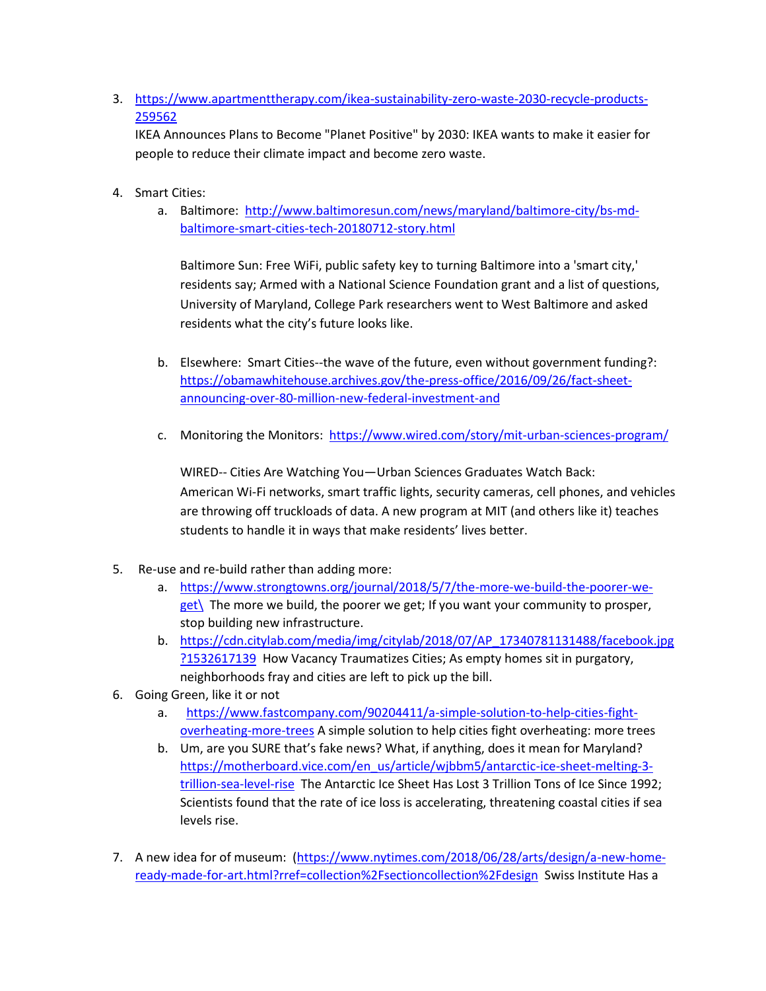3. [https://www.apartmenttherapy.com/ikea-sustainability-zero-waste-2030-recycle-products-](https://www.apartmenttherapy.com/ikea-sustainability-zero-waste-2030-recycle-products-259562)[259562](https://www.apartmenttherapy.com/ikea-sustainability-zero-waste-2030-recycle-products-259562)

IKEA Announces Plans to Become "Planet Positive" by 2030: IKEA wants to make it easier for people to reduce their climate impact and become zero waste.

- 4. Smart Cities:
	- a. Baltimore: [http://www.baltimoresun.com/news/maryland/baltimore-city/bs-md](http://www.baltimoresun.com/news/maryland/baltimore-city/bs-md-baltimore-smart-cities-tech-20180712-story.html)[baltimore-smart-cities-tech-20180712-story.html](http://www.baltimoresun.com/news/maryland/baltimore-city/bs-md-baltimore-smart-cities-tech-20180712-story.html)

Baltimore Sun: Free WiFi, public safety key to turning Baltimore into a 'smart city,' residents say; Armed with a National Science Foundation grant and a list of questions, University of Maryland, College Park researchers went to West Baltimore and asked residents what the city's future looks like.

- b. Elsewhere: Smart Cities--the wave of the future, even without government funding?: [https://obamawhitehouse.archives.gov/the-press-office/2016/09/26/fact-sheet](https://obamawhitehouse.archives.gov/the-press-office/2016/09/26/fact-sheet-announcing-over-80-million-new-federal-investment-and)[announcing-over-80-million-new-federal-investment-and](https://obamawhitehouse.archives.gov/the-press-office/2016/09/26/fact-sheet-announcing-over-80-million-new-federal-investment-and)
- c. Monitoring the Monitors: <https://www.wired.com/story/mit-urban-sciences-program/>

WIRED-- Cities Are Watching You—Urban Sciences Graduates Watch Back: American Wi-Fi networks, smart traffic lights, security cameras, cell phones, and vehicles are throwing off truckloads of data. A new program at MIT (and others like it) teaches students to handle it in ways that make residents' lives better.

- 5. Re-use and re-build rather than adding more:
	- a. [https://www.strongtowns.org/journal/2018/5/7/the-more-we-build-the-poorer-we](https://www.strongtowns.org/journal/2018/5/7/the-more-we-build-the-poorer-we-get/) $get\$  The more we build, the poorer we get; If you want your community to prosper, stop building new infrastructure.
	- b. [https://cdn.citylab.com/media/img/citylab/2018/07/AP\\_17340781131488/facebook.jpg](https://cdn.citylab.com/media/img/citylab/2018/07/AP_17340781131488/facebook.jpg?1532617139) [?1532617139](https://cdn.citylab.com/media/img/citylab/2018/07/AP_17340781131488/facebook.jpg?1532617139) How Vacancy Traumatizes Cities; As empty homes sit in purgatory, neighborhoods fray and cities are left to pick up the bill.
- 6. Going Green, like it or not
	- a. [https://www.fastcompany.com/90204411/a-simple-solution-to-help-cities-fight](https://www.fastcompany.com/90204411/a-simple-solution-to-help-cities-fight-overheating-more-trees)[overheating-more-trees](https://www.fastcompany.com/90204411/a-simple-solution-to-help-cities-fight-overheating-more-trees) A simple solution to help cities fight overheating: more trees
	- b. Um, are you SURE that's fake news? What, if anything, does it mean for Maryland? [https://motherboard.vice.com/en\\_us/article/wjbbm5/antarctic-ice-sheet-melting-3](https://motherboard.vice.com/en_us/article/wjbbm5/antarctic-ice-sheet-melting-3-trillion-sea-level-rise) [trillion-sea-level-rise](https://motherboard.vice.com/en_us/article/wjbbm5/antarctic-ice-sheet-melting-3-trillion-sea-level-rise) The Antarctic Ice Sheet Has Lost 3 Trillion Tons of Ice Since 1992; Scientists found that the rate of ice loss is accelerating, threatening coastal cities if sea levels rise.
- 7. A new idea for of museum: [\(https://www.nytimes.com/2018/06/28/arts/design/a-new-home](https://www.nytimes.com/2018/06/28/arts/design/a-new-home-ready-made-for-art.html?rref=collection%2Fsectioncollection%2Fdesign)[ready-made-for-art.html?rref=collection%2Fsectioncollection%2Fdesign](https://www.nytimes.com/2018/06/28/arts/design/a-new-home-ready-made-for-art.html?rref=collection%2Fsectioncollection%2Fdesign) Swiss Institute Has a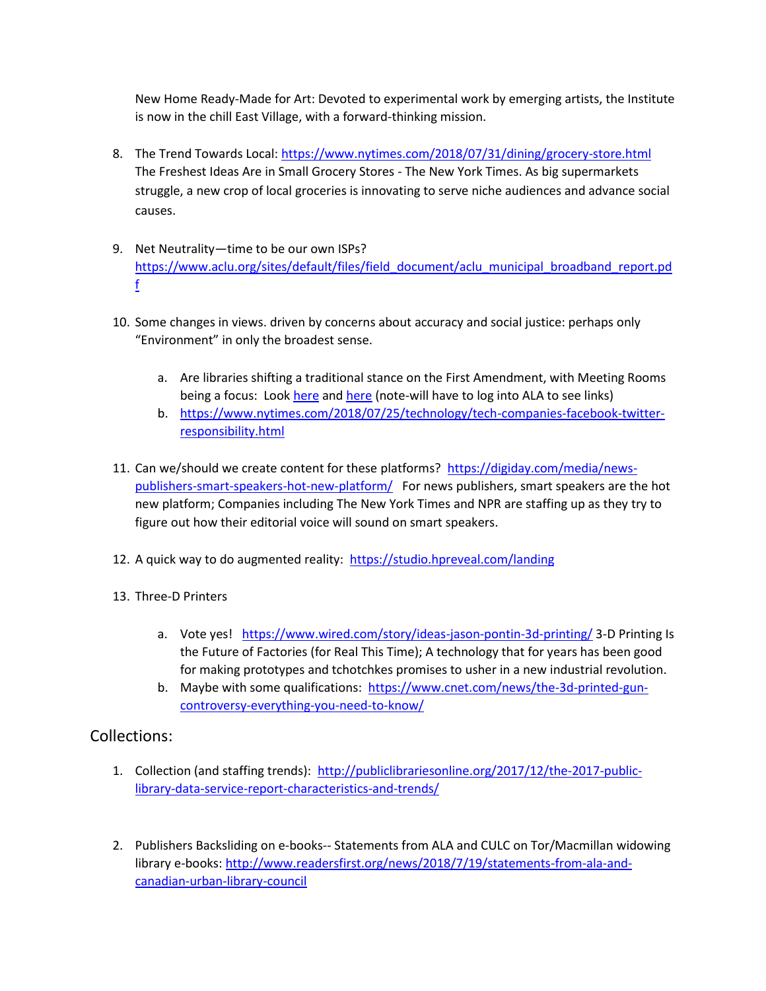New Home Ready-Made for Art: Devoted to experimental work by emerging artists, the Institute is now in the chill East Village, with a forward-thinking mission.

- 8. The Trend Towards Local:<https://www.nytimes.com/2018/07/31/dining/grocery-store.html> The Freshest Ideas Are in Small Grocery Stores - The New York Times. As big supermarkets struggle, a new crop of local groceries is innovating to serve niche audiences and advance social causes.
- 9. Net Neutrality—time to be our own ISPs? [https://www.aclu.org/sites/default/files/field\\_document/aclu\\_municipal\\_broadband\\_report.pd](https://www.aclu.org/sites/default/files/field_document/aclu_municipal_broadband_report.pdf) [f](https://www.aclu.org/sites/default/files/field_document/aclu_municipal_broadband_report.pdf)
- 10. Some changes in views. driven by concerns about accuracy and social justice: perhaps only "Environment" in only the broadest sense.
	- a. Are libraries shifting a traditional stance on the First Amendment, with Meeting Rooms being a focus: Loo[k here](https://connect.ala.org/communities/community-home/digestviewer/viewthread?MessageKey=e1703342-0892-431b-ba0a-487b62bc142c&CommunityKey=927d02c1-673b-4e91-9911-8fdf8dc3407f&tab=digestviewer#bme1703342-0892-431b-ba0a-487b62bc142c) and [here](https://connect.ala.org/communities/community-home/digestviewer/viewthread?MessageKey=d4348cb8-ac89-41bc-8491-135da168c665&CommunityKey=927d02c1-673b-4e91-9911-8fdf8dc3407f&tab=digestviewer#bmeab617a2-3461-45ef-bb49-904fa4c20dd7) (note-will have to log into ALA to see links)
	- b. [https://www.nytimes.com/2018/07/25/technology/tech-companies-facebook-twitter](https://www.nytimes.com/2018/07/25/technology/tech-companies-facebook-twitter-responsibility.html)[responsibility.html](https://www.nytimes.com/2018/07/25/technology/tech-companies-facebook-twitter-responsibility.html)
- 11. Can we/should we create content for these platforms? [https://digiday.com/media/news](https://digiday.com/media/news-publishers-smart-speakers-hot-new-platform/)[publishers-smart-speakers-hot-new-platform/](https://digiday.com/media/news-publishers-smart-speakers-hot-new-platform/) For news publishers, smart speakers are the hot new platform; Companies including The New York Times and NPR are staffing up as they try to figure out how their editorial voice will sound on smart speakers.
- 12. A quick way to do augmented reality:<https://studio.hpreveal.com/landing>
- 13. Three-D Printers
	- a. Vote yes! <https://www.wired.com/story/ideas-jason-pontin-3d-printing/> 3-D Printing Is the Future of Factories (for Real This Time); A technology that for years has been good for making prototypes and tchotchkes promises to usher in a new industrial revolution.
	- b. Maybe with some qualifications: [https://www.cnet.com/news/the-3d-printed-gun](https://www.cnet.com/news/the-3d-printed-gun-controversy-everything-you-need-to-know/)[controversy-everything-you-need-to-know/](https://www.cnet.com/news/the-3d-printed-gun-controversy-everything-you-need-to-know/)

### Collections:

- 1. Collection (and staffing trends): [http://publiclibrariesonline.org/2017/12/the-2017-public](http://publiclibrariesonline.org/2017/12/the-2017-public-library-data-service-report-characteristics-and-trends/)[library-data-service-report-characteristics-and-trends/](http://publiclibrariesonline.org/2017/12/the-2017-public-library-data-service-report-characteristics-and-trends/)
- 2. Publishers Backsliding on e-books-- Statements from ALA and CULC on Tor/Macmillan widowing library e-books: [http://www.readersfirst.org/news/2018/7/19/statements-from-ala-and](http://www.readersfirst.org/news/2018/7/19/statements-from-ala-and-canadian-urban-library-council)[canadian-urban-library-council](http://www.readersfirst.org/news/2018/7/19/statements-from-ala-and-canadian-urban-library-council)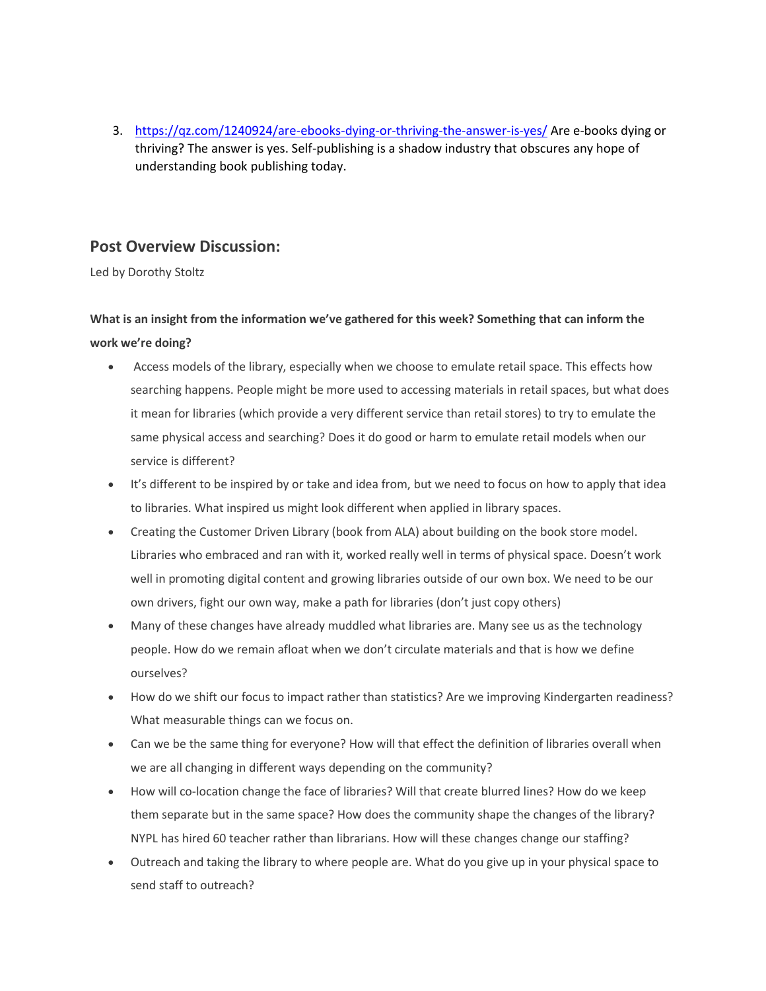3. <https://qz.com/1240924/are-ebooks-dying-or-thriving-the-answer-is-yes/> Are e-books dying or thriving? The answer is yes. Self-publishing is a shadow industry that obscures any hope of understanding book publishing today.

## **Post Overview Discussion:**

Led by Dorothy Stoltz

## **What is an insight from the information we've gathered for this week? Something that can inform the work we're doing?**

- Access models of the library, especially when we choose to emulate retail space. This effects how searching happens. People might be more used to accessing materials in retail spaces, but what does it mean for libraries (which provide a very different service than retail stores) to try to emulate the same physical access and searching? Does it do good or harm to emulate retail models when our service is different?
- It's different to be inspired by or take and idea from, but we need to focus on how to apply that idea to libraries. What inspired us might look different when applied in library spaces.
- Creating the Customer Driven Library (book from ALA) about building on the book store model. Libraries who embraced and ran with it, worked really well in terms of physical space. Doesn't work well in promoting digital content and growing libraries outside of our own box. We need to be our own drivers, fight our own way, make a path for libraries (don't just copy others)
- Many of these changes have already muddled what libraries are. Many see us as the technology people. How do we remain afloat when we don't circulate materials and that is how we define ourselves?
- How do we shift our focus to impact rather than statistics? Are we improving Kindergarten readiness? What measurable things can we focus on.
- Can we be the same thing for everyone? How will that effect the definition of libraries overall when we are all changing in different ways depending on the community?
- How will co-location change the face of libraries? Will that create blurred lines? How do we keep them separate but in the same space? How does the community shape the changes of the library? NYPL has hired 60 teacher rather than librarians. How will these changes change our staffing?
- Outreach and taking the library to where people are. What do you give up in your physical space to send staff to outreach?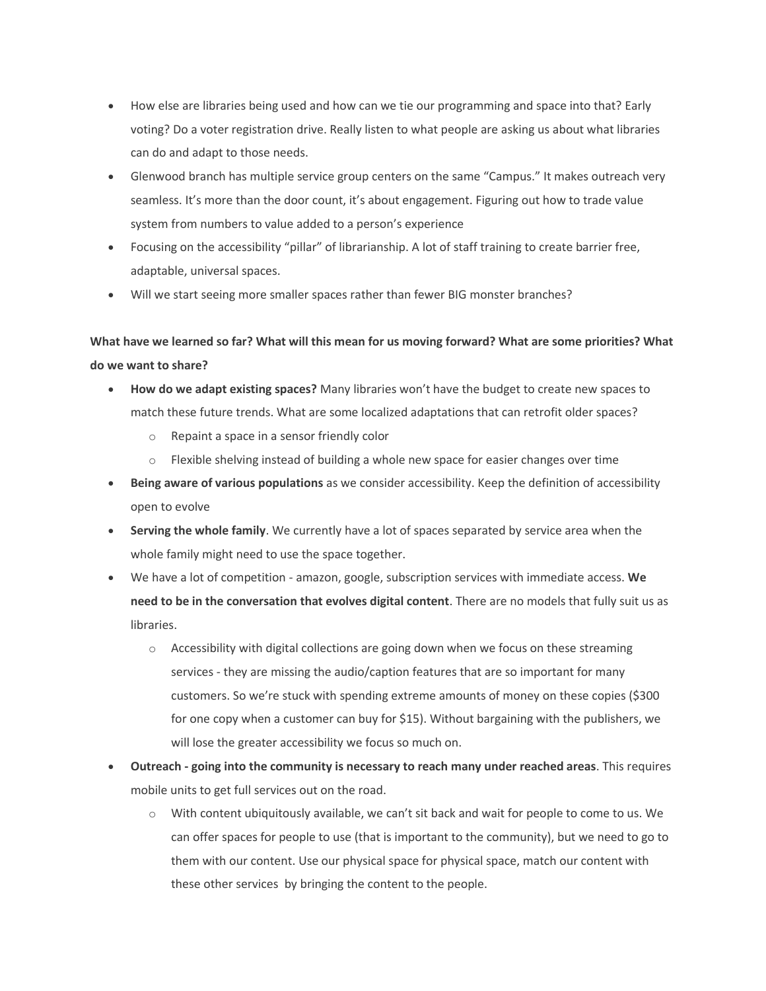- How else are libraries being used and how can we tie our programming and space into that? Early voting? Do a voter registration drive. Really listen to what people are asking us about what libraries can do and adapt to those needs.
- Glenwood branch has multiple service group centers on the same "Campus." It makes outreach very seamless. It's more than the door count, it's about engagement. Figuring out how to trade value system from numbers to value added to a person's experience
- Focusing on the accessibility "pillar" of librarianship. A lot of staff training to create barrier free, adaptable, universal spaces.
- Will we start seeing more smaller spaces rather than fewer BIG monster branches?

## **What have we learned so far? What will this mean for us moving forward? What are some priorities? What do we want to share?**

- **How do we adapt existing spaces?** Many libraries won't have the budget to create new spaces to match these future trends. What are some localized adaptations that can retrofit older spaces?
	- o Repaint a space in a sensor friendly color
	- $\circ$  Flexible shelving instead of building a whole new space for easier changes over time
- **Being aware of various populations** as we consider accessibility. Keep the definition of accessibility open to evolve
- **Serving the whole family**. We currently have a lot of spaces separated by service area when the whole family might need to use the space together.
- We have a lot of competition amazon, google, subscription services with immediate access. **We need to be in the conversation that evolves digital content**. There are no models that fully suit us as libraries.
	- $\circ$  Accessibility with digital collections are going down when we focus on these streaming services - they are missing the audio/caption features that are so important for many customers. So we're stuck with spending extreme amounts of money on these copies (\$300 for one copy when a customer can buy for \$15). Without bargaining with the publishers, we will lose the greater accessibility we focus so much on.
- **Outreach - going into the community is necessary to reach many under reached areas**. This requires mobile units to get full services out on the road.
	- $\circ$  With content ubiquitously available, we can't sit back and wait for people to come to us. We can offer spaces for people to use (that is important to the community), but we need to go to them with our content. Use our physical space for physical space, match our content with these other services by bringing the content to the people.